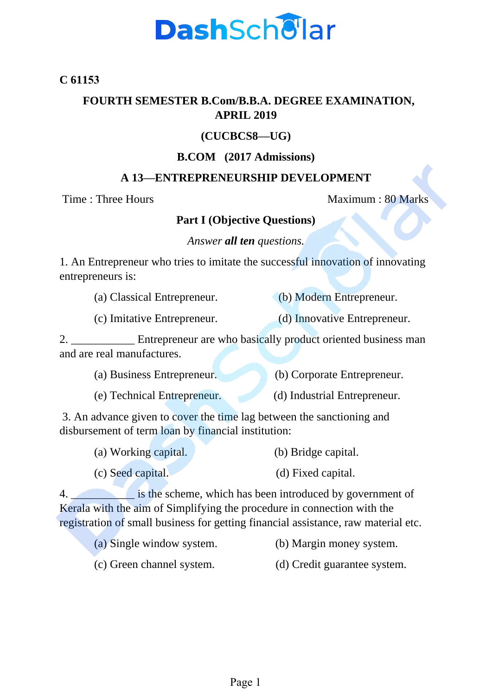## **DashSchellar**

#### **C 61153**

#### **FOURTH SEMESTER B.Com/B.B.A. DEGREE EXAMINATION, APRIL 2019**

### **(CUCBCS8—UG)**

#### **B.COM (2017 Admissions)**

#### **A 13—ENTREPRENEURSHIP DEVELOPMENT**

Time : Three Hours Maximum : 80 Marks

### **Part I (Objective Questions)**

#### *Answer all ten questions.*

1. An Entrepreneur who tries to imitate the successful innovation of innovating entrepreneurs is:

| (a) Classical Entrepreneur. |  |  |  | (b) Modern Entrepreneur. |  |
|-----------------------------|--|--|--|--------------------------|--|
|                             |  |  |  |                          |  |

(c) Imitative Entrepreneur. (d) Innovative Entrepreneur.

2. \_\_\_\_\_\_\_\_\_\_\_\_\_ Entrepreneur are who basically product oriented business man and are real manufactures.

| (a) Business Entrepreneur. | (b) Corporate Entrepreneur. |
|----------------------------|-----------------------------|
|----------------------------|-----------------------------|

(e) Technical Entrepreneur. (d) Industrial Entrepreneur.

3. An advance given to cover the time lag between the sanctioning and disbursement of term loan by financial institution:

| (a) Working capital. | (b) Bridge capital. |
|----------------------|---------------------|
| (c) Seed capital.    | (d) Fixed capital.  |

4. **Example 18 is the scheme, which has been introduced by government of** Kerala with the aim of Simplifying the procedure in connection with the registration of small business for getting financial assistance, raw material etc.

- (a) Single window system. (b) Margin money system.
- (c) Green channel system. (d) Credit guarantee system.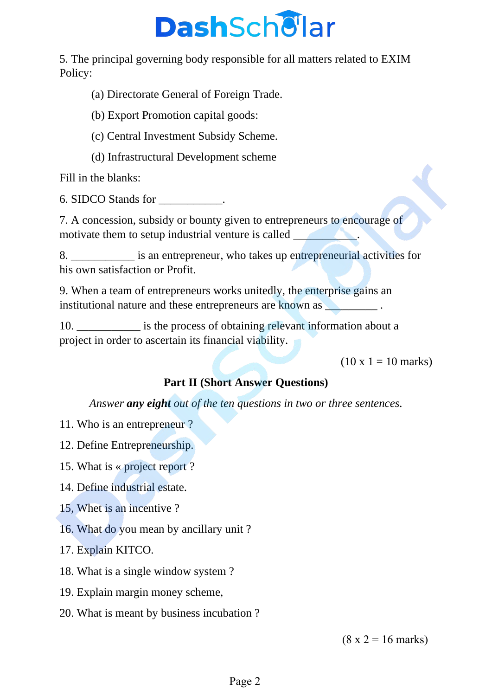# **DashSchellar**

5. The principal governing body responsible for all matters related to EXIM Policy:

(a) Directorate General of Foreign Trade.

(b) Export Promotion capital goods:

(c) Central Investment Subsidy Scheme.

(d) Infrastructural Development scheme

Fill in the blanks:

6. SIDCO Stands for \_\_\_\_\_\_\_\_\_\_\_.

7. A concession, subsidy or bounty given to entrepreneurs to encourage of motivate them to setup industrial venture is called

8. \_\_\_\_\_\_\_\_\_\_\_ is an entrepreneur, who takes up entrepreneurial activities for his own satisfaction or Profit.

9. When a team of entrepreneurs works unitedly, the enterprise gains an institutional nature and these entrepreneurs are known as **which is a set of the set of the set of the set of the set of the set of the set of the set of the set of the set of the set of the set of the set of the set of th** 

10. \_\_\_\_\_\_\_\_\_\_\_ is the process of obtaining relevant information about a project in order to ascertain its financial viability.

 $(10 \times 1 = 10 \text{ marks})$ 

## **Part II (Short Answer Questions)**

*Answer any eight out of the ten questions in two or three sentences.*

- 11. Who is an entrepreneur ?
- 12. Define Entrepreneurship.
- 15. What is « project report ?
- 14. Define industrial estate.
- 15, Whet is an incentive ?
- 16. What do you mean by ancillary unit ?
- 17. Explain KITCO.
- 18. What is a single window system ?
- 19. Explain margin money scheme,
- 20. What is meant by business incubation ?